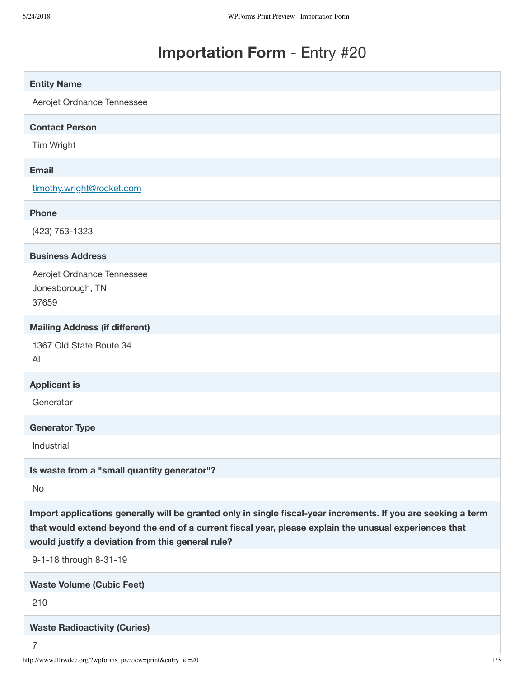# **Importation Form** - Entry #20

| <b>Entity Name</b>                                                                                             |
|----------------------------------------------------------------------------------------------------------------|
| Aerojet Ordnance Tennessee                                                                                     |
|                                                                                                                |
| <b>Contact Person</b>                                                                                          |
| Tim Wright                                                                                                     |
| <b>Email</b>                                                                                                   |
| timothy.wright@rocket.com                                                                                      |
| <b>Phone</b>                                                                                                   |
| (423) 753-1323                                                                                                 |
| <b>Business Address</b>                                                                                        |
| Aerojet Ordnance Tennessee                                                                                     |
| Jonesborough, TN                                                                                               |
| 37659                                                                                                          |
| <b>Mailing Address (if different)</b>                                                                          |
| 1367 Old State Route 34                                                                                        |
| <b>AL</b>                                                                                                      |
| <b>Applicant is</b>                                                                                            |
| Generator                                                                                                      |
| <b>Generator Type</b>                                                                                          |
| Industrial                                                                                                     |
| Is waste from a "small quantity generator"?                                                                    |
| No                                                                                                             |
| Import applications generally will be granted only in single fiscal-year increments. If you are seeking a term |
| that would extend beyond the end of a current fiscal year, please explain the unusual experiences that         |
| would justify a deviation from this general rule?                                                              |
| 9-1-18 through 8-31-19                                                                                         |
| <b>Waste Volume (Cubic Feet)</b>                                                                               |
| 210                                                                                                            |
| <b>Waste Radioactivity (Curies)</b>                                                                            |
| $\overline{7}$                                                                                                 |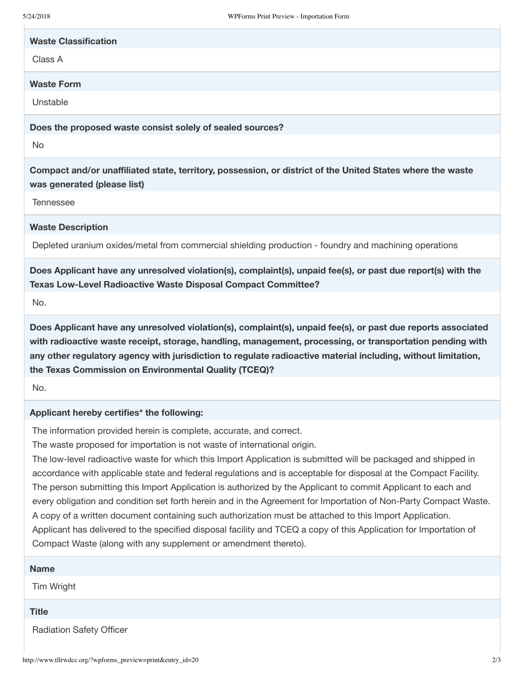| <b>Waste Classification</b> |
|-----------------------------|
| Class A                     |

### **Waste Form**

Unstable

**Does the proposed waste consist solely of sealed sources?**

No

**Compact and/or unaffiliated state, territory, possession, or district of the United States where the waste was generated (please list)**

Tennessee

### **Waste Description**

Depleted uranium oxides/metal from commercial shielding production - foundry and machining operations

**Does Applicant have any unresolved violation(s), complaint(s), unpaid fee(s), or past due report(s) with the Texas Low-Level Radioactive Waste Disposal Compact Committee?**

No.

**Does Applicant have any unresolved violation(s), complaint(s), unpaid fee(s), or past due reports associated with radioactive waste receipt, storage, handling, management, processing, or transportation pending with any other regulatory agency with jurisdiction to regulate radioactive material including, without limitation, the Texas Commission on Environmental Quality (TCEQ)?**

No.

## **Applicant hereby certifies\* the following:**

The information provided herein is complete, accurate, and correct.

The waste proposed for importation is not waste of international origin.

The low-level radioactive waste for which this Import Application is submitted will be packaged and shipped in accordance with applicable state and federal regulations and is acceptable for disposal at the Compact Facility. The person submitting this Import Application is authorized by the Applicant to commit Applicant to each and every obligation and condition set forth herein and in the Agreement for Importation of Non-Party Compact Waste. A copy of a written document containing such authorization must be attached to this Import Application. Applicant has delivered to the specified disposal facility and TCEQ a copy of this Application for Importation of Compact Waste (along with any supplement or amendment thereto).

| <b>Name</b>                     |  |
|---------------------------------|--|
| Tim Wright                      |  |
| <b>Title</b>                    |  |
| <b>Radiation Safety Officer</b> |  |